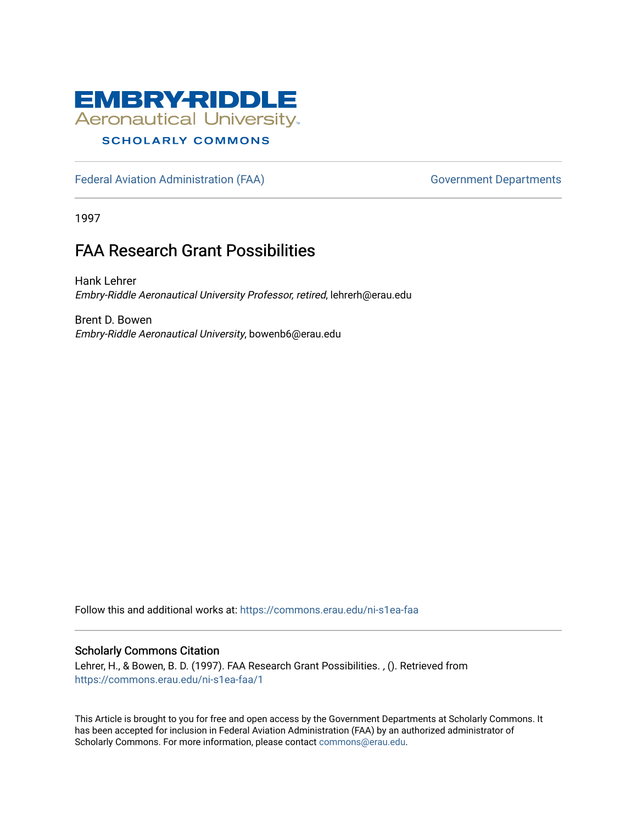

## **SCHOLARLY COMMONS**

[Federal Aviation Administration \(FAA\)](https://commons.erau.edu/ni-s1ea-faa) Government Departments

1997

## FAA Research Grant Possibilities

Hank Lehrer Embry-Riddle Aeronautical University Professor, retired, lehrerh@erau.edu

Brent D. Bowen Embry-Riddle Aeronautical University, bowenb6@erau.edu

Follow this and additional works at: [https://commons.erau.edu/ni-s1ea-faa](https://commons.erau.edu/ni-s1ea-faa?utm_source=commons.erau.edu%2Fni-s1ea-faa%2F1&utm_medium=PDF&utm_campaign=PDFCoverPages) 

## Scholarly Commons Citation

Lehrer, H., & Bowen, B. D. (1997). FAA Research Grant Possibilities. , (). Retrieved from [https://commons.erau.edu/ni-s1ea-faa/1](https://commons.erau.edu/ni-s1ea-faa/1?utm_source=commons.erau.edu%2Fni-s1ea-faa%2F1&utm_medium=PDF&utm_campaign=PDFCoverPages) 

This Article is brought to you for free and open access by the Government Departments at Scholarly Commons. It has been accepted for inclusion in Federal Aviation Administration (FAA) by an authorized administrator of Scholarly Commons. For more information, please contact [commons@erau.edu.](mailto:commons@erau.edu)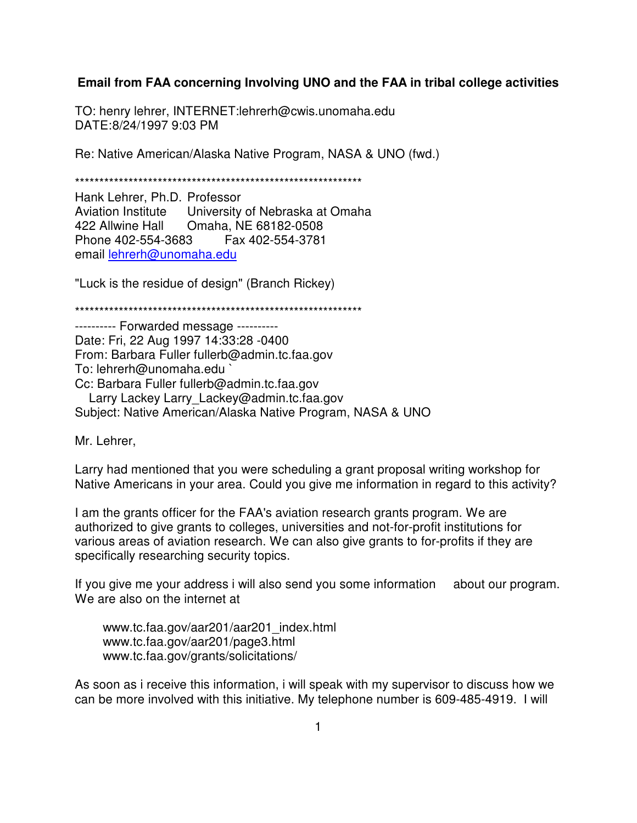## **Email from FAA concerning Involving UNO and the FAA in tribal college activities**

TO: henry lehrer, INTERNET:lehrerh@cwis.unomaha.edu DATE: 8/24/1997 9:03 PM

Re: Native American/Alaska Native Program, NASA & UNO (fwd.)

\*\*\*\*\*\*\*\*\*\*\*\*\*\*\*\*\*\*\*\*\*\*\*\*\*\*\*\*\*\*\*\*\*\*\*\*\*\*\*\*\*\*\*\*\*\*\*\*\*\*\*\*\*\*\*\*\*\*\*

Hank Lehrer, Ph.D. Professor Aviation Institute University of Nebraska at Omaha 422 Allwine Hall Omaha, NE 68182-0508 Phone 402-554-3683 Fax 402-554-3781 email lehrerh@unomaha.edu

"Luck is the residue of design" (Branch Rickey)

\*\*\*\*\*\*\*\*\*\*\*\*\*\*\*\*\*\*\*\*\*\*\*\*\*\*\*\*\*\*\*\*\*\*\*\*\*\*\*\*\*\*\*\*\*\*\*\*\*\*\*\*\*\*\*\*\*\*\*

---------- Forwarded message ---------- Date: Fri, 22 Aug 1997 14:33:28 -0400 From: Barbara Fuller fullerb@admin.tc.faa.gov To: lehrerh@unomaha.edu ` Cc: Barbara Fuller fullerb@admin.tc.faa.gov Larry Lackey Larry Lackey@admin.tc.faa.gov Subject: Native American/Alaska Native Program, NASA & UNO

Mr. Lehrer,

Larry had mentioned that you were scheduling a grant proposal writing workshop for Native Americans in your area. Could you give me information in regard to this activity?

I am the grants officer for the FAA's aviation research grants program. We are authorized to give grants to colleges, universities and not-for-profit institutions for various areas of aviation research. We can also give grants to for-profits if they are specifically researching security topics.

If you give me your address i will also send you some information about our program. We are also on the internet at

 www.tc.faa.gov/aar201/aar201\_index.html www.tc.faa.gov/aar201/page3.html www.tc.faa.gov/grants/solicitations/

As soon as i receive this information, i will speak with my supervisor to discuss how we can be more involved with this initiative. My telephone number is 609-485-4919. I will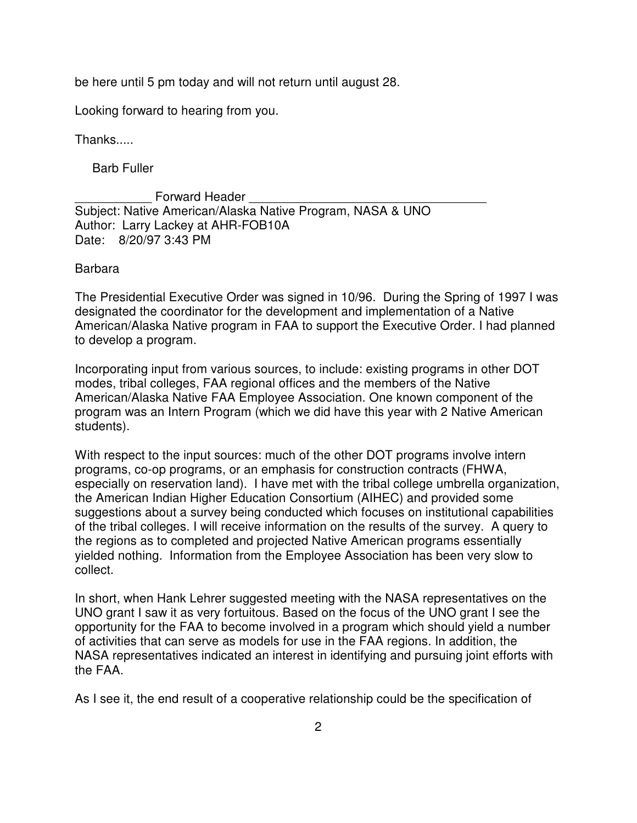be here until 5 pm today and will not return until august 28.

Looking forward to hearing from you.

Thanks.....

Barb Fuller

Forward Header Subject: Native American/Alaska Native Program, NASA & UNO Author: Larry Lackey at AHR-FOB10A Date: 8/20/97 3:43 PM

Barbara

The Presidential Executive Order was signed in 10/96. During the Spring of 1997 I was designated the coordinator for the development and implementation of a Native American/Alaska Native program in FAA to support the Executive Order. I had planned to develop a program.

Incorporating input from various sources, to include: existing programs in other DOT modes, tribal colleges, FAA regional offices and the members of the Native American/Alaska Native FAA Employee Association. One known component of the program was an Intern Program (which we did have this year with 2 Native American students).

With respect to the input sources: much of the other DOT programs involve intern programs, co-op programs, or an emphasis for construction contracts (FHWA, especially on reservation land). I have met with the tribal college umbrella organization, the American Indian Higher Education Consortium (AIHEC) and provided some suggestions about a survey being conducted which focuses on institutional capabilities of the tribal colleges. I will receive information on the results of the survey. A query to the regions as to completed and projected Native American programs essentially yielded nothing. Information from the Employee Association has been very slow to collect.

In short, when Hank Lehrer suggested meeting with the NASA representatives on the UNO grant I saw it as very fortuitous. Based on the focus of the UNO grant I see the opportunity for the FAA to become involved in a program which should yield a number of activities that can serve as models for use in the FAA regions. In addition, the NASA representatives indicated an interest in identifying and pursuing joint efforts with the FAA.

As I see it, the end result of a cooperative relationship could be the specification of